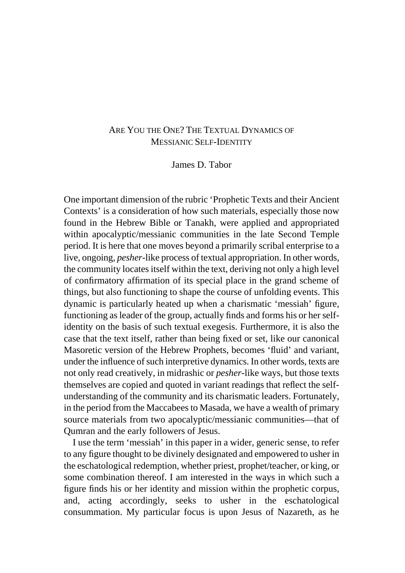## ARE YOU THE ONE? THE TEXTUAL DYNAMICS OF MESSIANIC SELF-IDENTITY

## James D. Tabor

One important dimension of the rubric 'Prophetic Texts and their Ancient Contexts' is a consideration of how such materials, especially those now found in the Hebrew Bible or Tanakh, were applied and appropriated within apocalyptic/messianic communities in the late Second Temple period. It is here that one moves beyond a primarily scribal enterprise to a live, ongoing, *pesher-*like process of textual appropriation. In other words, the community locates itself within the text, deriving not only a high level of confirmatory affirmation of its special place in the grand scheme of things, but also functioning to shape the course of unfolding events. This dynamic is particularly heated up when a charismatic 'messiah' figure, functioning as leader of the group, actually finds and forms his or her selfidentity on the basis of such textual exegesis. Furthermore, it is also the case that the text itself, rather than being fixed or set, like our canonical Masoretic version of the Hebrew Prophets, becomes 'fluid' and variant, under the influence of such interpretive dynamics. In other words, texts are not only read creatively, in midrashic or *pesher*-like ways, but those texts themselves are copied and quoted in variant readings that reflect the selfunderstanding of the community and its charismatic leaders. Fortunately, in the period from the Maccabees to Masada, we have a wealth of primary source materials from two apocalyptic/messianic communities—that of Qumran and the early followers of Jesus.

 I use the term 'messiah' in this paper in a wider, generic sense, to refer to any figure thought to be divinely designated and empowered to usher in the eschatological redemption, whether priest, prophet/teacher, or king, or some combination thereof. I am interested in the ways in which such a figure finds his or her identity and mission within the prophetic corpus, and, acting accordingly, seeks to usher in the eschatological consummation. My particular focus is upon Jesus of Nazareth, as he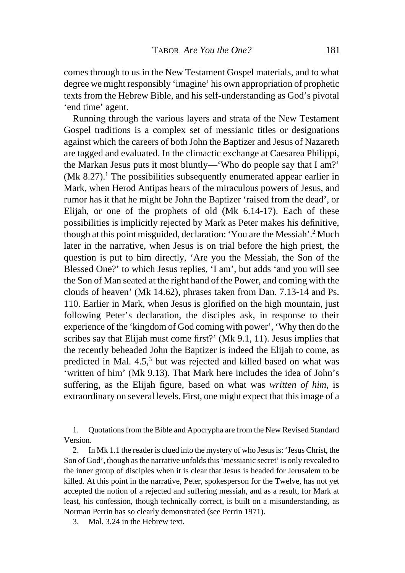comes through to us in the New Testament Gospel materials, and to what degree we might responsibly 'imagine' his own appropriation of prophetic texts from the Hebrew Bible, and his self-understanding as God's pivotal 'end time' agent.

 Running through the various layers and strata of the New Testament Gospel traditions is a complex set of messianic titles or designations against which the careers of both John the Baptizer and Jesus of Nazareth are tagged and evaluated. In the climactic exchange at Caesarea Philippi, the Markan Jesus puts it most bluntly—'Who do people say that I am?'  $(Mk 8.27).$ <sup>1</sup> The possibilities subsequently enumerated appear earlier in Mark, when Herod Antipas hears of the miraculous powers of Jesus, and rumor has it that he might be John the Baptizer 'raised from the dead', or Elijah, or one of the prophets of old (Mk 6.14-17). Each of these possibilities is implicitly rejected by Mark as Peter makes his definitive, though at this point misguided, declaration: 'You are the Messiah'.<sup>2</sup> Much later in the narrative, when Jesus is on trial before the high priest, the question is put to him directly, 'Are you the Messiah, the Son of the Blessed One?' to which Jesus replies, 'I am', but adds 'and you will see the Son of Man seated at the right hand of the Power, and coming with the clouds of heaven' (Mk 14.62), phrases taken from Dan. 7.13-14 and Ps. 110. Earlier in Mark, when Jesus is glorified on the high mountain, just following Peter's declaration, the disciples ask, in response to their experience of the 'kingdom of God coming with power', 'Why then do the scribes say that Elijah must come first?' (Mk 9.1, 11). Jesus implies that the recently beheaded John the Baptizer is indeed the Elijah to come, as predicted in Mal. 4.5,<sup>3</sup> but was rejected and killed based on what was 'written of him' (Mk 9.13). That Mark here includes the idea of John's suffering, as the Elijah figure, based on what was *written of him*, is extraordinary on several levels. First, one might expect that this image of a

 1. Quotations from the Bible and Apocrypha are from the New Revised Standard Version.

 2. In Mk 1.1 the reader is clued into the mystery of who Jesus is: 'Jesus Christ, the Son of God', though as the narrative unfolds this 'messianic secret' is only revealed to the inner group of disciples when it is clear that Jesus is headed for Jerusalem to be killed. At this point in the narrative, Peter, spokesperson for the Twelve, has not yet accepted the notion of a rejected and suffering messiah, and as a result, for Mark at least, his confession, though technically correct, is built on a misunderstanding, as Norman Perrin has so clearly demonstrated (see Perrin 1971).

3. Mal. 3.24 in the Hebrew text.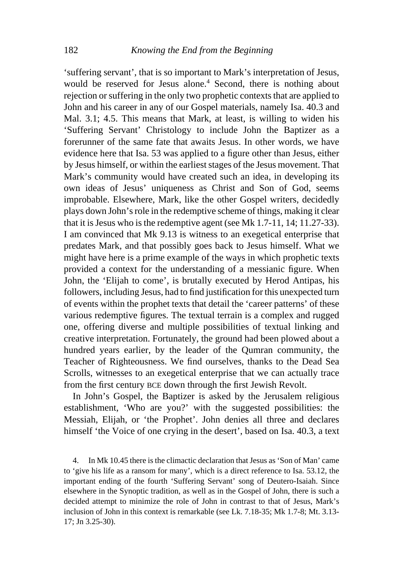'suffering servant', that is so important to Mark's interpretation of Jesus, would be reserved for Jesus alone.<sup>4</sup> Second, there is nothing about rejection or suffering in the only two prophetic contexts that are applied to John and his career in any of our Gospel materials, namely Isa. 40.3 and Mal. 3.1; 4.5. This means that Mark, at least, is willing to widen his 'Suffering Servant' Christology to include John the Baptizer as a forerunner of the same fate that awaits Jesus. In other words, we have evidence here that Isa. 53 was applied to a figure other than Jesus, either by Jesus himself, or within the earliest stages of the Jesus movement. That Mark's community would have created such an idea, in developing its own ideas of Jesus' uniqueness as Christ and Son of God, seems improbable. Elsewhere, Mark, like the other Gospel writers, decidedly plays down John's role in the redemptive scheme of things, making it clear that it is Jesus who is the redemptive agent (see Mk 1.7-11, 14; 11.27-33). I am convinced that Mk 9.13 is witness to an exegetical enterprise that predates Mark, and that possibly goes back to Jesus himself. What we might have here is a prime example of the ways in which prophetic texts provided a context for the understanding of a messianic figure. When John, the 'Elijah to come', is brutally executed by Herod Antipas, his followers, including Jesus, had to find justification for this unexpected turn of events within the prophet texts that detail the 'career patterns' of these various redemptive figures. The textual terrain is a complex and rugged one, offering diverse and multiple possibilities of textual linking and creative interpretation. Fortunately, the ground had been plowed about a hundred years earlier, by the leader of the Qumran community, the Teacher of Righteousness. We find ourselves, thanks to the Dead Sea Scrolls, witnesses to an exegetical enterprise that we can actually trace from the first century BCE down through the first Jewish Revolt.

 In John's Gospel, the Baptizer is asked by the Jerusalem religious establishment, 'Who are you?' with the suggested possibilities: the Messiah, Elijah, or 'the Prophet'. John denies all three and declares himself 'the Voice of one crying in the desert', based on Isa. 40.3, a text

 4. In Mk 10.45 there is the climactic declaration that Jesus as 'Son of Man' came to 'give his life as a ransom for many', which is a direct reference to Isa. 53.12, the important ending of the fourth 'Suffering Servant' song of Deutero-Isaiah. Since elsewhere in the Synoptic tradition, as well as in the Gospel of John, there is such a decided attempt to minimize the role of John in contrast to that of Jesus, Mark's inclusion of John in this context is remarkable (see Lk. 7.18-35; Mk 1.7-8; Mt. 3.13- 17; Jn 3.25-30).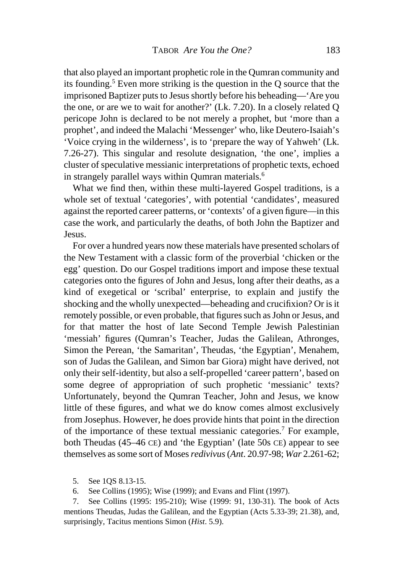that also played an important prophetic role in the Qumran community and its founding.5 Even more striking is the question in the Q source that the imprisoned Baptizer puts to Jesus shortly before his beheading—'Are you the one, or are we to wait for another?' (Lk. 7.20). In a closely related Q pericope John is declared to be not merely a prophet, but 'more than a prophet', and indeed the Malachi 'Messenger' who, like Deutero-Isaiah's 'Voice crying in the wilderness', is to 'prepare the way of Yahweh' (Lk. 7.26-27). This singular and resolute designation, 'the one', implies a cluster of speculative messianic interpretations of prophetic texts, echoed in strangely parallel ways within Qumran materials.6

 What we find then, within these multi-layered Gospel traditions, is a whole set of textual 'categories', with potential 'candidates', measured against the reported career patterns, or 'contexts' of a given figure—in this case the work, and particularly the deaths, of both John the Baptizer and Jesus.

 For over a hundred years now these materials have presented scholars of the New Testament with a classic form of the proverbial 'chicken or the egg' question. Do our Gospel traditions import and impose these textual categories onto the figures of John and Jesus, long after their deaths, as a kind of exegetical or 'scribal' enterprise, to explain and justify the shocking and the wholly unexpected—beheading and crucifixion? Or is it remotely possible, or even probable, that figures such as John or Jesus, and for that matter the host of late Second Temple Jewish Palestinian 'messiah' figures (Qumran's Teacher, Judas the Galilean, Athronges, Simon the Perean, 'the Samaritan', Theudas, 'the Egyptian', Menahem, son of Judas the Galilean, and Simon bar Giora) might have derived, not only their self-identity, but also a self-propelled 'career pattern', based on some degree of appropriation of such prophetic 'messianic' texts? Unfortunately, beyond the Qumran Teacher, John and Jesus, we know little of these figures, and what we do know comes almost exclusively from Josephus. However, he does provide hints that point in the direction of the importance of these textual messianic categories.7 For example, both Theudas (45–46 CE) and 'the Egyptian' (late 50s CE) appear to see themselves as some sort of Moses *redivivus* (*Ant*. 20.97-98; *War* 2.261-62;

5. See 1QS 8.13-15.

6. See Collins (1995); Wise (1999); and Evans and Flint (1997).

 7. See Collins (1995: 195-210); Wise (1999: 91, 130-31). The book of Acts mentions Theudas, Judas the Galilean, and the Egyptian (Acts 5.33-39; 21.38), and, surprisingly, Tacitus mentions Simon (*Hist*. 5.9).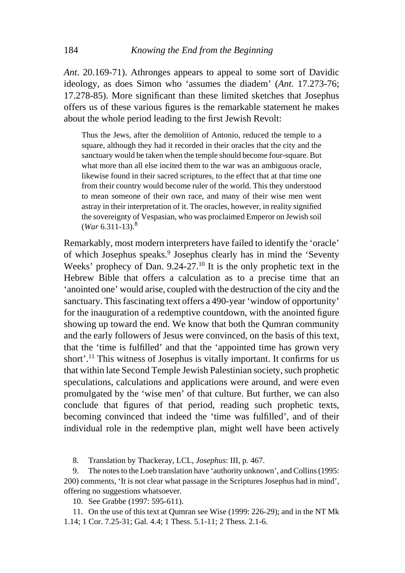*Ant*. 20.169-71). Athronges appears to appeal to some sort of Davidic ideology, as does Simon who 'assumes the diadem' (*Ant*. 17.273-76; 17.278-85). More significant than these limited sketches that Josephus offers us of these various figures is the remarkable statement he makes about the whole period leading to the first Jewish Revolt:

Thus the Jews, after the demolition of Antonio, reduced the temple to a square, although they had it recorded in their oracles that the city and the sanctuary would be taken when the temple should become four-square. But what more than all else incited them to the war was an ambiguous oracle, likewise found in their sacred scriptures, to the effect that at that time one from their country would become ruler of the world. This they understood to mean someone of their own race, and many of their wise men went astray in their interpretation of it. The oracles, however, in reality signified the sovereignty of Vespasian, who was proclaimed Emperor on Jewish soil  $(War 6.311-13).$ <sup>8</sup>

Remarkably, most modern interpreters have failed to identify the 'oracle' of which Josephus speaks.<sup>9</sup> Josephus clearly has in mind the 'Seventy Weeks' prophecy of Dan. 9.24-27.<sup>10</sup> It is the only prophetic text in the Hebrew Bible that offers a calculation as to a precise time that an 'anointed one' would arise, coupled with the destruction of the city and the sanctuary. This fascinating text offers a 490-year 'window of opportunity' for the inauguration of a redemptive countdown, with the anointed figure showing up toward the end. We know that both the Qumran community and the early followers of Jesus were convinced, on the basis of this text, that the 'time is fulfilled' and that the 'appointed time has grown very short'.<sup>11</sup> This witness of Josephus is vitally important. It confirms for us that within late Second Temple Jewish Palestinian society, such prophetic speculations, calculations and applications were around, and were even promulgated by the 'wise men' of that culture. But further, we can also conclude that figures of that period, reading such prophetic texts, becoming convinced that indeed the 'time was fulfilled', and of their individual role in the redemptive plan, might well have been actively

8. Translation by Thackeray, LCL, *Josephus*: III, p. 467.

 9. The notes to the Loeb translation have 'authority unknown', and Collins (1995: 200) comments, 'It is not clear what passage in the Scriptures Josephus had in mind', offering no suggestions whatsoever.

10. See Grabbe (1997: 595-611).

 11. On the use of this text at Qumran see Wise (1999: 226-29); and in the NT Mk 1.14; 1 Cor. 7.25-31; Gal. 4.4; 1 Thess. 5.1-11; 2 Thess. 2.1-6.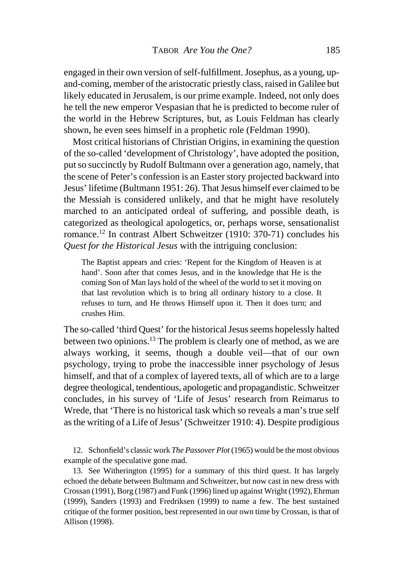engaged in their own version of self-fulfillment. Josephus, as a young, upand-coming, member of the aristocratic priestly class, raised in Galilee but likely educated in Jerusalem, is our prime example. Indeed, not only does he tell the new emperor Vespasian that he is predicted to become ruler of the world in the Hebrew Scriptures, but, as Louis Feldman has clearly shown, he even sees himself in a prophetic role (Feldman 1990).

 Most critical historians of Christian Origins, in examining the question of the so-called 'development of Christology', have adopted the position, put so succinctly by Rudolf Bultmann over a generation ago, namely, that the scene of Peter's confession is an Easter story projected backward into Jesus' lifetime (Bultmann 1951: 26). That Jesus himself ever claimed to be the Messiah is considered unlikely, and that he might have resolutely marched to an anticipated ordeal of suffering, and possible death, is categorized as theological apologetics, or, perhaps worse, sensationalist romance.12 In contrast Albert Schweitzer (1910: 370-71) concludes his *Quest for the Historical Jesus* with the intriguing conclusion:

The Baptist appears and cries: 'Repent for the Kingdom of Heaven is at hand'. Soon after that comes Jesus, and in the knowledge that He is the coming Son of Man lays hold of the wheel of the world to set it moving on that last revolution which is to bring all ordinary history to a close. It refuses to turn, and He throws Himself upon it. Then it does turn; and crushes Him.

The so-called 'third Quest' for the historical Jesus seems hopelessly halted between two opinions.13 The problem is clearly one of method, as we are always working, it seems, though a double veil—that of our own psychology, trying to probe the inaccessible inner psychology of Jesus himself, and that of a complex of layered texts, all of which are to a large degree theological, tendentious, apologetic and propagandistic. Schweitzer concludes, in his survey of 'Life of Jesus' research from Reimarus to Wrede, that 'There is no historical task which so reveals a man's true self as the writing of a Life of Jesus' (Schweitzer 1910: 4). Despite prodigious

 12. Schonfield's classic work *The Passover Plot* (1965) would be the most obvious example of the speculative gone mad.

 13. See Witherington (1995) for a summary of this third quest. It has largely echoed the debate between Bultmann and Schweitzer, but now cast in new dress with Crossan (1991), Borg (1987) and Funk (1996) lined up against Wright (1992), Ehrman (1999), Sanders (1993) and Fredriksen (1999) to name a few. The best sustained critique of the former position, best represented in our own time by Crossan, is that of Allison (1998).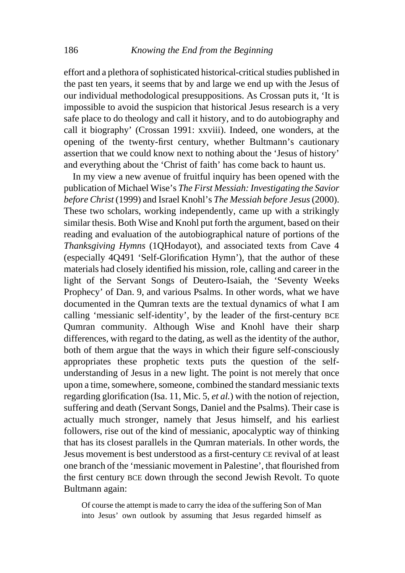effort and a plethora of sophisticated historical-critical studies published in the past ten years, it seems that by and large we end up with the Jesus of our individual methodological presuppositions. As Crossan puts it, 'It is impossible to avoid the suspicion that historical Jesus research is a very safe place to do theology and call it history, and to do autobiography and call it biography' (Crossan 1991: xxviii). Indeed, one wonders, at the opening of the twenty-first century, whether Bultmann's cautionary assertion that we could know next to nothing about the 'Jesus of history' and everything about the 'Christ of faith' has come back to haunt us.

 In my view a new avenue of fruitful inquiry has been opened with the publication of Michael Wise's *The First Messiah: Investigating the Savior before Christ* (1999) and Israel Knohl's *The Messiah before Jesus* (2000). These two scholars, working independently, came up with a strikingly similar thesis. Both Wise and Knohl put forth the argument, based on their reading and evaluation of the autobiographical nature of portions of the *Thanksgiving Hymns* (1QHodayot), and associated texts from Cave 4 (especially 4Q491 'Self-Glorification Hymn'), that the author of these materials had closely identified his mission, role, calling and career in the light of the Servant Songs of Deutero-Isaiah, the 'Seventy Weeks Prophecy' of Dan. 9, and various Psalms. In other words, what we have documented in the Qumran texts are the textual dynamics of what I am calling 'messianic self-identity', by the leader of the first-century BCE Qumran community. Although Wise and Knohl have their sharp differences, with regard to the dating, as well as the identity of the author, both of them argue that the ways in which their figure self-consciously appropriates these prophetic texts puts the question of the selfunderstanding of Jesus in a new light. The point is not merely that once upon a time, somewhere, someone, combined the standard messianic texts regarding glorification (Isa. 11, Mic. 5, *et al.*) with the notion of rejection, suffering and death (Servant Songs, Daniel and the Psalms). Their case is actually much stronger, namely that Jesus himself, and his earliest followers, rise out of the kind of messianic, apocalyptic way of thinking that has its closest parallels in the Qumran materials. In other words, the Jesus movement is best understood as a first-century CE revival of at least one branch of the 'messianic movement in Palestine', that flourished from the first century BCE down through the second Jewish Revolt. To quote Bultmann again:

Of course the attempt is made to carry the idea of the suffering Son of Man into Jesus' own outlook by assuming that Jesus regarded himself as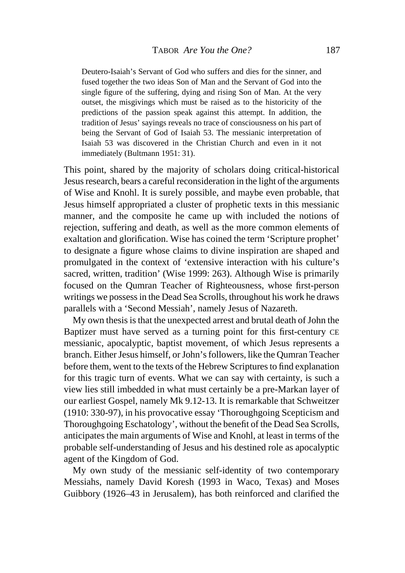Deutero-Isaiah's Servant of God who suffers and dies for the sinner, and fused together the two ideas Son of Man and the Servant of God into the single figure of the suffering, dying and rising Son of Man. At the very outset, the misgivings which must be raised as to the historicity of the predictions of the passion speak against this attempt. In addition, the tradition of Jesus' sayings reveals no trace of consciousness on his part of being the Servant of God of Isaiah 53. The messianic interpretation of Isaiah 53 was discovered in the Christian Church and even in it not immediately (Bultmann 1951: 31).

This point, shared by the majority of scholars doing critical-historical Jesus research, bears a careful reconsideration in the light of the arguments of Wise and Knohl. It is surely possible, and maybe even probable, that Jesus himself appropriated a cluster of prophetic texts in this messianic manner, and the composite he came up with included the notions of rejection, suffering and death, as well as the more common elements of exaltation and glorification. Wise has coined the term 'Scripture prophet' to designate a figure whose claims to divine inspiration are shaped and promulgated in the context of 'extensive interaction with his culture's sacred, written, tradition' (Wise 1999: 263). Although Wise is primarily focused on the Qumran Teacher of Righteousness, whose first-person writings we possess in the Dead Sea Scrolls, throughout his work he draws parallels with a 'Second Messiah', namely Jesus of Nazareth.

 My own thesis is that the unexpected arrest and brutal death of John the Baptizer must have served as a turning point for this first-century CE messianic, apocalyptic, baptist movement, of which Jesus represents a branch. Either Jesus himself, or John's followers, like the Qumran Teacher before them, went to the texts of the Hebrew Scriptures to find explanation for this tragic turn of events. What we can say with certainty, is such a view lies still imbedded in what must certainly be a pre-Markan layer of our earliest Gospel, namely Mk 9.12-13. It is remarkable that Schweitzer (1910: 330-97), in his provocative essay 'Thoroughgoing Scepticism and Thoroughgoing Eschatology', without the benefit of the Dead Sea Scrolls, anticipates the main arguments of Wise and Knohl, at least in terms of the probable self-understanding of Jesus and his destined role as apocalyptic agent of the Kingdom of God.

 My own study of the messianic self-identity of two contemporary Messiahs, namely David Koresh (1993 in Waco, Texas) and Moses Guibbory (1926–43 in Jerusalem), has both reinforced and clarified the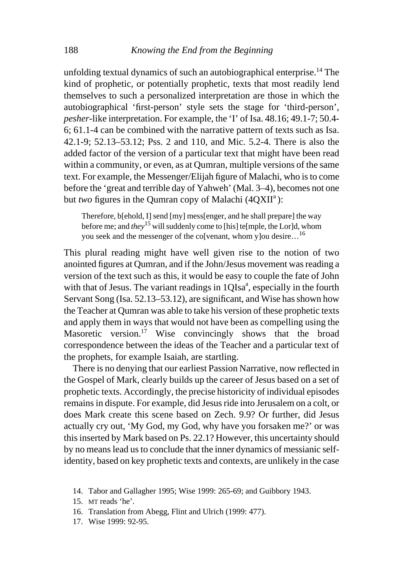unfolding textual dynamics of such an autobiographical enterprise.<sup>14</sup> The kind of prophetic, or potentially prophetic, texts that most readily lend themselves to such a personalized interpretation are those in which the autobiographical 'first-person' style sets the stage for 'third-person', *pesher*-like interpretation. For example, the 'I' of Isa. 48.16; 49.1-7; 50.4- 6; 61.1-4 can be combined with the narrative pattern of texts such as Isa. 42.1-9; 52.13–53.12; Pss. 2 and 110, and Mic. 5.2-4. There is also the added factor of the version of a particular text that might have been read within a community, or even, as at Qumran, multiple versions of the same text. For example, the Messenger/Elijah figure of Malachi, who is to come before the 'great and terrible day of Yahweh' (Mal. 3–4), becomes not one but *two* figures in the Qumran copy of Malachi (4QXII<sup>a</sup>):

Therefore, b[ehold, I] send [my] mess[enger, and he shall prepare] the way before me; and *they*15 will suddenly come to [his] te[mple, the Lor]d, whom you seek and the messenger of the colvenant, whom ylou desire…<sup>16</sup>

This plural reading might have well given rise to the notion of two anointed figures at Qumran, and if the John/Jesus movement was reading a version of the text such as this, it would be easy to couple the fate of John with that of Jesus. The variant readings in  $1QIsa^a$ , especially in the fourth Servant Song (Isa. 52.13–53.12), are significant, and Wise has shown how the Teacher at Qumran was able to take his version of these prophetic texts and apply them in ways that would not have been as compelling using the Masoretic version.<sup>17</sup> Wise convincingly shows that the broad correspondence between the ideas of the Teacher and a particular text of the prophets, for example Isaiah, are startling.

 There is no denying that our earliest Passion Narrative, now reflected in the Gospel of Mark, clearly builds up the career of Jesus based on a set of prophetic texts. Accordingly, the precise historicity of individual episodes remains in dispute. For example, did Jesus ride into Jerusalem on a colt, or does Mark create this scene based on Zech. 9.9? Or further, did Jesus actually cry out, 'My God, my God, why have you forsaken me?' or was this inserted by Mark based on Ps. 22.1? However, this uncertainty should by no means lead us to conclude that the inner dynamics of messianic selfidentity, based on key prophetic texts and contexts, are unlikely in the case

- 16. Translation from Abegg, Flint and Ulrich (1999: 477).
- 17. Wise 1999: 92-95.

 <sup>14.</sup> Tabor and Gallagher 1995; Wise 1999: 265-69; and Guibbory 1943.

 <sup>15.</sup> MT reads 'he'.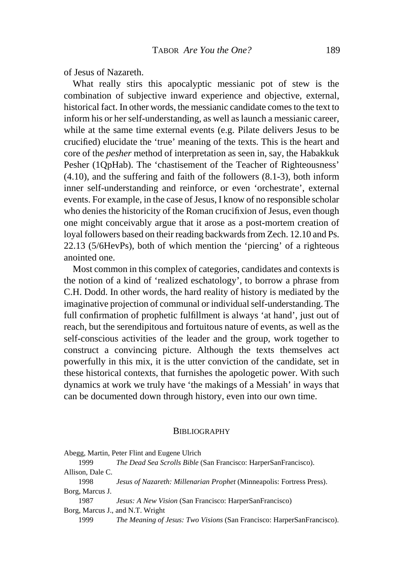of Jesus of Nazareth.

 What really stirs this apocalyptic messianic pot of stew is the combination of subjective inward experience and objective, external, historical fact. In other words, the messianic candidate comes to the text to inform his or her self-understanding, as well as launch a messianic career, while at the same time external events (e.g. Pilate delivers Jesus to be crucified) elucidate the 'true' meaning of the texts. This is the heart and core of the *pesher* method of interpretation as seen in, say, the Habakkuk Pesher (1QpHab). The 'chastisement of the Teacher of Righteousness' (4.10), and the suffering and faith of the followers (8.1-3), both inform inner self-understanding and reinforce, or even 'orchestrate', external events. For example, in the case of Jesus, I know of no responsible scholar who denies the historicity of the Roman crucifixion of Jesus, even though one might conceivably argue that it arose as a post-mortem creation of loyal followers based on their reading backwards from Zech. 12.10 and Ps. 22.13 (5/6HevPs), both of which mention the 'piercing' of a righteous anointed one.

 Most common in this complex of categories, candidates and contexts is the notion of a kind of 'realized eschatology', to borrow a phrase from C.H. Dodd. In other words, the hard reality of history is mediated by the imaginative projection of communal or individual self-understanding. The full confirmation of prophetic fulfillment is always 'at hand', just out of reach, but the serendipitous and fortuitous nature of events, as well as the self-conscious activities of the leader and the group, work together to construct a convincing picture. Although the texts themselves act powerfully in this mix, it is the utter conviction of the candidate, set in these historical contexts, that furnishes the apologetic power. With such dynamics at work we truly have 'the makings of a Messiah' in ways that can be documented down through history, even into our own time.

## BIBLIOGRAPHY

|                                  | Abegg, Martin, Peter Flint and Eugene Ulrich                                  |  |
|----------------------------------|-------------------------------------------------------------------------------|--|
| 1999                             | The Dead Sea Scrolls Bible (San Francisco: HarperSanFrancisco).               |  |
| Allison, Dale C.                 |                                                                               |  |
| 1998                             | Jesus of Nazareth: Millenarian Prophet (Minneapolis: Fortress Press).         |  |
| Borg, Marcus J.                  |                                                                               |  |
| 1987                             | Jesus: A New Vision (San Francisco: HarperSanFrancisco)                       |  |
| Borg, Marcus J., and N.T. Wright |                                                                               |  |
| 1999                             | <i>The Meaning of Jesus: Two Visions</i> (San Francisco: HarperSanFrancisco). |  |
|                                  |                                                                               |  |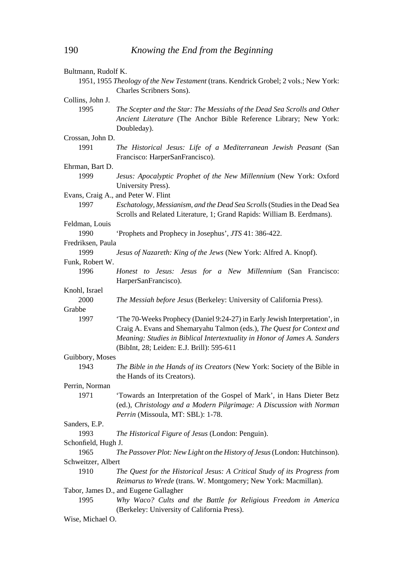| Bultmann, Rudolf K. |                                                                                                          |
|---------------------|----------------------------------------------------------------------------------------------------------|
|                     | 1951, 1955 Theology of the New Testament (trans. Kendrick Grobel; 2 vols.; New York:                     |
|                     | Charles Scribners Sons).                                                                                 |
| Collins, John J.    |                                                                                                          |
| 1995                | The Scepter and the Star: The Messiahs of the Dead Sea Scrolls and Other                                 |
|                     | Ancient Literature (The Anchor Bible Reference Library; New York:                                        |
|                     | Doubleday).                                                                                              |
| Crossan, John D.    |                                                                                                          |
| 1991                | The Historical Jesus: Life of a Mediterranean Jewish Peasant (San<br>Francisco: HarperSanFrancisco).     |
| Ehrman, Bart D.     |                                                                                                          |
| 1999                | Jesus: Apocalyptic Prophet of the New Millennium (New York: Oxford<br>University Press).                 |
|                     | Evans, Craig A., and Peter W. Flint                                                                      |
| 1997                | Eschatology, Messianism, and the Dead Sea Scrolls (Studies in the Dead Sea                               |
|                     | Scrolls and Related Literature, 1; Grand Rapids: William B. Eerdmans).                                   |
| Feldman, Louis      |                                                                                                          |
| 1990                | 'Prophets and Prophecy in Josephus', JTS 41: 386-422.                                                    |
| Fredriksen, Paula   |                                                                                                          |
| 1999                | Jesus of Nazareth: King of the Jews (New York: Alfred A. Knopf).                                         |
| Funk, Robert W.     |                                                                                                          |
| 1996                | Honest to Jesus: Jesus for a New Millennium (San Francisco:<br>HarperSanFrancisco).                      |
| Knohl, Israel       |                                                                                                          |
| 2000                | The Messiah before Jesus (Berkeley: University of California Press).                                     |
| Grabbe              |                                                                                                          |
| 1997                | 'The 70-Weeks Prophecy (Daniel 9:24-27) in Early Jewish Interpretation', in                              |
|                     |                                                                                                          |
|                     | Craig A. Evans and Shemaryahu Talmon (eds.), The Quest for Context and                                   |
|                     | Meaning: Studies in Biblical Intertextuality in Honor of James A. Sanders                                |
|                     | (BibInt, 28; Leiden: E.J. Brill): 595-611                                                                |
| Guibbory, Moses     |                                                                                                          |
| 1943                | The Bible in the Hands of its Creators (New York: Society of the Bible in<br>the Hands of its Creators). |
| Perrin, Norman      |                                                                                                          |
| 1971                | 'Towards an Interpretation of the Gospel of Mark', in Hans Dieter Betz                                   |
|                     | (ed.), Christology and a Modern Pilgrimage: A Discussion with Norman                                     |
|                     | Perrin (Missoula, MT: SBL): 1-78.                                                                        |
| Sanders, E.P.       |                                                                                                          |
| 1993                | The Historical Figure of Jesus (London: Penguin).                                                        |
| Schonfield, Hugh J. |                                                                                                          |
| 1965                | The Passover Plot: New Light on the History of Jesus (London: Hutchinson).                               |
| Schweitzer, Albert  |                                                                                                          |
| 1910                | The Quest for the Historical Jesus: A Critical Study of its Progress from                                |
|                     | Reimarus to Wrede (trans. W. Montgomery; New York: Macmillan).                                           |
|                     | Tabor, James D., and Eugene Gallagher                                                                    |
| 1995                | Why Waco? Cults and the Battle for Religious Freedom in America                                          |
|                     | (Berkeley: University of California Press).                                                              |
| Wise, Michael O.    |                                                                                                          |